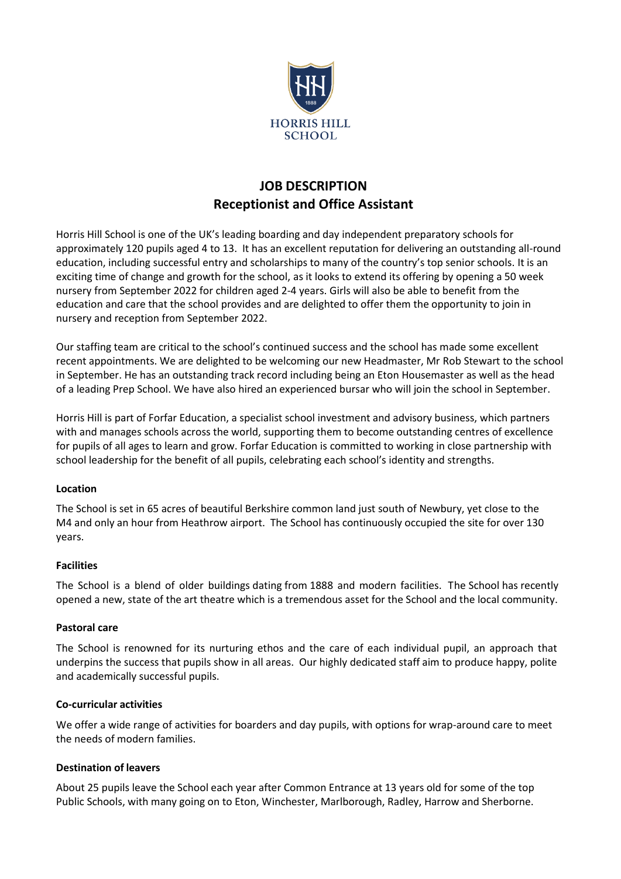

# **JOB DESCRIPTION Receptionist and Office Assistant**

Horris Hill School is one of the UK's leading boarding and day independent preparatory schools for approximately 120 pupils aged 4 to 13. It has an excellent reputation for delivering an outstanding all-round education, including successful entry and scholarships to many of the country's top senior schools. It is an exciting time of change and growth for the school, as it looks to extend its offering by opening a 50 week nursery from September 2022 for children aged 2-4 years. Girls will also be able to benefit from the education and care that the school provides and are delighted to offer them the opportunity to join in nursery and reception from September 2022.

Our staffing team are critical to the school's continued success and the school has made some excellent recent appointments. We are delighted to be welcoming our new Headmaster, Mr Rob Stewart to the school in September. He has an outstanding track record including being an Eton Housemaster as well as the head of a leading Prep School. We have also hired an experienced bursar who will join the school in September.

Horris Hill is part of Forfar Education, a specialist school investment and advisory business, which partners with and manages schools across the world, supporting them to become outstanding centres of excellence for pupils of all ages to learn and grow. Forfar Education is committed to working in close partnership with school leadership for the benefit of all pupils, celebrating each school's identity and strengths.

# **Location**

The School is set in 65 acres of beautiful Berkshire common land just south of Newbury, yet close to the M4 and only an hour from Heathrow airport. The School has continuously occupied the site for over 130 years.

#### **Facilities**

The School is a blend of older buildings dating from 1888 and modern facilities. The School has recently opened a new, state of the art theatre which is a tremendous asset for the School and the local community.

#### **Pastoral care**

The School is renowned for its nurturing ethos and the care of each individual pupil, an approach that underpins the success that pupils show in all areas. Our highly dedicated staff aim to produce happy, polite and academically successful pupils.

#### **Co-curricular activities**

We offer a wide range of activities for boarders and day pupils, with options for wrap-around care to meet the needs of modern families.

#### **Destination of leavers**

About 25 pupils leave the School each year after Common Entrance at 13 years old for some of the top Public Schools, with many going on to Eton, Winchester, Marlborough, Radley, Harrow and Sherborne.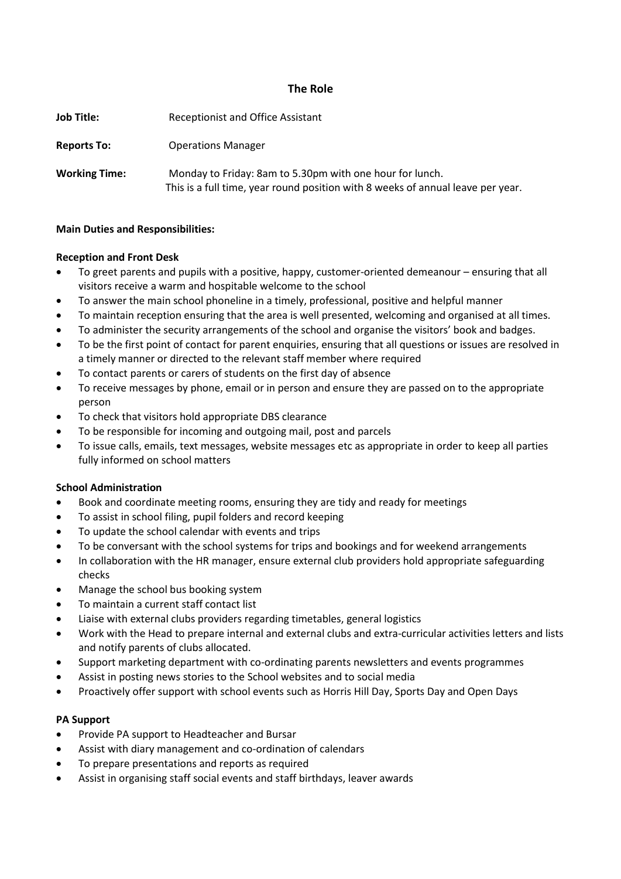## **The Role**

| <b>Job Title:</b>    | Receptionist and Office Assistant                                                                                                           |
|----------------------|---------------------------------------------------------------------------------------------------------------------------------------------|
| <b>Reports To:</b>   | <b>Operations Manager</b>                                                                                                                   |
| <b>Working Time:</b> | Monday to Friday: 8am to 5.30pm with one hour for lunch.<br>This is a full time, year round position with 8 weeks of annual leave per year. |

#### **Main Duties and Responsibilities:**

#### **Reception and Front Desk**

- To greet parents and pupils with a positive, happy, customer-oriented demeanour ensuring that all visitors receive a warm and hospitable welcome to the school
- To answer the main school phoneline in a timely, professional, positive and helpful manner
- To maintain reception ensuring that the area is well presented, welcoming and organised at all times.
- To administer the security arrangements of the school and organise the visitors' book and badges.
- To be the first point of contact for parent enquiries, ensuring that all questions or issues are resolved in a timely manner or directed to the relevant staff member where required
- To contact parents or carers of students on the first day of absence
- To receive messages by phone, email or in person and ensure they are passed on to the appropriate person
- To check that visitors hold appropriate DBS clearance
- To be responsible for incoming and outgoing mail, post and parcels
- To issue calls, emails, text messages, website messages etc as appropriate in order to keep all parties fully informed on school matters

#### **School Administration**

- Book and coordinate meeting rooms, ensuring they are tidy and ready for meetings
- To assist in school filing, pupil folders and record keeping
- To update the school calendar with events and trips
- To be conversant with the school systems for trips and bookings and for weekend arrangements
- In collaboration with the HR manager, ensure external club providers hold appropriate safeguarding checks
- Manage the school bus booking system
- To maintain a current staff contact list
- Liaise with external clubs providers regarding timetables, general logistics
- Work with the Head to prepare internal and external clubs and extra-curricular activities letters and lists and notify parents of clubs allocated.
- Support marketing department with co-ordinating parents newsletters and events programmes
- Assist in posting news stories to the School websites and to social media
- Proactively offer support with school events such as Horris Hill Day, Sports Day and Open Days

#### **PA Support**

- Provide PA support to Headteacher and Bursar
- Assist with diary management and co-ordination of calendars
- To prepare presentations and reports as required
- Assist in organising staff social events and staff birthdays, leaver awards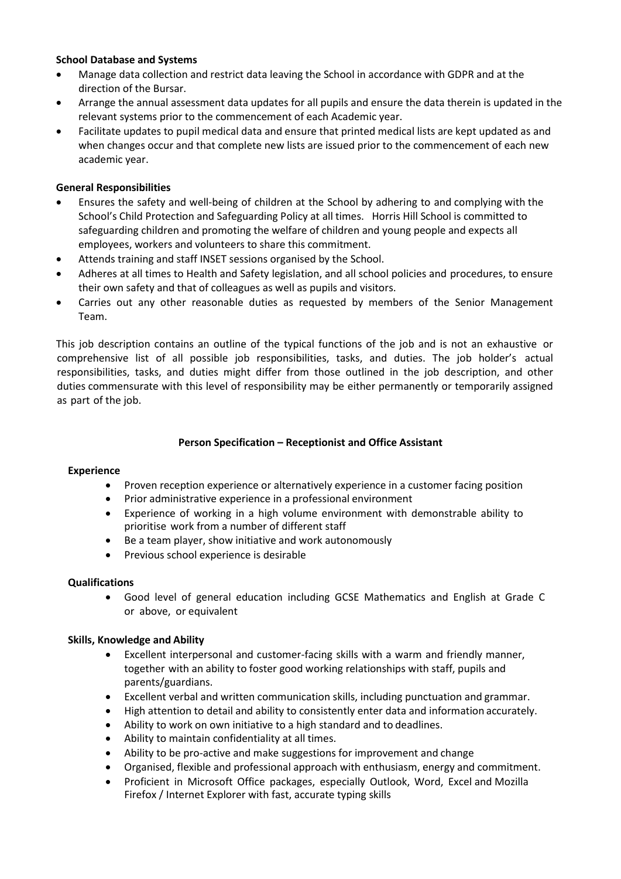## **School Database and Systems**

- Manage data collection and restrict data leaving the School in accordance with GDPR and at the direction of the Bursar.
- Arrange the annual assessment data updates for all pupils and ensure the data therein is updated in the relevant systems prior to the commencement of each Academic year.
- Facilitate updates to pupil medical data and ensure that printed medical lists are kept updated as and when changes occur and that complete new lists are issued prior to the commencement of each new academic year.

## **General Responsibilities**

- Ensures the safety and well-being of children at the School by adhering to and complying with the School's Child Protection and Safeguarding Policy at all times. Horris Hill School is committed to safeguarding children and promoting the welfare of children and young people and expects all employees, workers and volunteers to share this commitment.
- Attends training and staff INSET sessions organised by the School.
- Adheres at all times to Health and Safety legislation, and all school policies and procedures, to ensure their own safety and that of colleagues as well as pupils and visitors.
- Carries out any other reasonable duties as requested by members of the Senior Management Team.

This job description contains an outline of the typical functions of the job and is not an exhaustive or comprehensive list of all possible job responsibilities, tasks, and duties. The job holder's actual responsibilities, tasks, and duties might differ from those outlined in the job description, and other duties commensurate with this level of responsibility may be either permanently or temporarily assigned as part of the job.

# **Person Specification – Receptionist and Office Assistant**

#### **Experience**

- Proven reception experience or alternatively experience in a customer facing position
- Prior administrative experience in a professional environment
- Experience of working in a high volume environment with demonstrable ability to prioritise work from a number of different staff
- Be a team player, show initiative and work autonomously
- Previous school experience is desirable

#### **Qualifications**

• Good level of general education including GCSE Mathematics and English at Grade C or above, or equivalent

#### **Skills, Knowledge and Ability**

- Excellent interpersonal and customer-facing skills with a warm and friendly manner, together with an ability to foster good working relationships with staff, pupils and parents/guardians.
- Excellent verbal and written communication skills, including punctuation and grammar.
- High attention to detail and ability to consistently enter data and information accurately.
- Ability to work on own initiative to a high standard and to deadlines.
- Ability to maintain confidentiality at all times.
- Ability to be pro-active and make suggestions for improvement and change
- Organised, flexible and professional approach with enthusiasm, energy and commitment.
- Proficient in Microsoft Office packages, especially Outlook, Word, Excel and Mozilla Firefox / Internet Explorer with fast, accurate typing skills